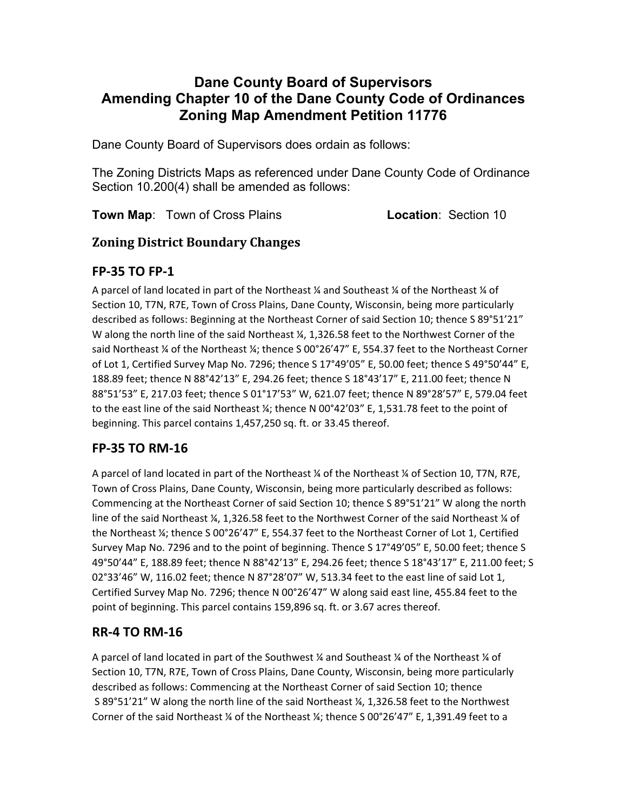# **Dane County Board of Supervisors Amending Chapter 10 of the Dane County Code of Ordinances Zoning Map Amendment Petition 11776**

Dane County Board of Supervisors does ordain as follows:

The Zoning Districts Maps as referenced under Dane County Code of Ordinance Section 10.200(4) shall be amended as follows:

**Town Map:** Town of Cross Plains **Location**: Section 10

#### **Zoning District Boundary Changes**

## **FP‐35 TO FP‐1**

A parcel of land located in part of the Northeast ¼ and Southeast ¼ of the Northeast ¼ of Section 10, T7N, R7E, Town of Cross Plains, Dane County, Wisconsin, being more particularly described as follows: Beginning at the Northeast Corner of said Section 10; thence S 89°51'21" W along the north line of the said Northeast  $\frac{1}{4}$ , 1,326.58 feet to the Northwest Corner of the said Northeast  $\%$  of the Northeast  $\%$ ; thence S 00°26'47" E, 554.37 feet to the Northeast Corner of Lot 1, Certified Survey Map No. 7296; thence S 17°49'05" E, 50.00 feet; thence S 49°50'44" E, 188.89 feet; thence N 88°42'13" E, 294.26 feet; thence S 18°43'17" E, 211.00 feet; thence N 88°51'53" E, 217.03 feet; thence S 01°17'53" W, 621.07 feet; thence N 89°28'57" E, 579.04 feet to the east line of the said Northeast ¼; thence N 00°42'03" E, 1,531.78 feet to the point of beginning. This parcel contains 1,457,250 sq. ft. or 33.45 thereof.

# **FP‐35 TO RM‐16**

A parcel of land located in part of the Northeast ¼ of the Northeast ¼ of Section 10, T7N, R7E, Town of Cross Plains, Dane County, Wisconsin, being more particularly described as follows: Commencing at the Northeast Corner of said Section 10; thence S 89°51'21" W along the north line of the said Northeast ¼, 1,326.58 feet to the Northwest Corner of the said Northeast ¼ of the Northeast ¼; thence S 00°26'47" E, 554.37 feet to the Northeast Corner of Lot 1, Certified Survey Map No. 7296 and to the point of beginning. Thence S 17°49'05" E, 50.00 feet; thence S 49°50'44" E, 188.89 feet; thence N 88°42'13" E, 294.26 feet; thence S 18°43'17" E, 211.00 feet; S 02°33'46" W, 116.02 feet; thence N 87°28'07" W, 513.34 feet to the east line of said Lot 1, Certified Survey Map No. 7296; thence N 00°26'47" W along said east line, 455.84 feet to the point of beginning. This parcel contains 159,896 sq. ft. or 3.67 acres thereof.

# **RR‐4 TO RM‐16**

A parcel of land located in part of the Southwest  $\frac{1}{4}$  and Southeast  $\frac{1}{4}$  of the Northeast  $\frac{1}{4}$  of Section 10, T7N, R7E, Town of Cross Plains, Dane County, Wisconsin, being more particularly described as follows: Commencing at the Northeast Corner of said Section 10; thence S 89°51'21" W along the north line of the said Northeast ¼, 1,326.58 feet to the Northwest Corner of the said Northeast  $\frac{1}{4}$  of the Northeast  $\frac{1}{4}$ ; thence S 00°26'47" E, 1,391.49 feet to a